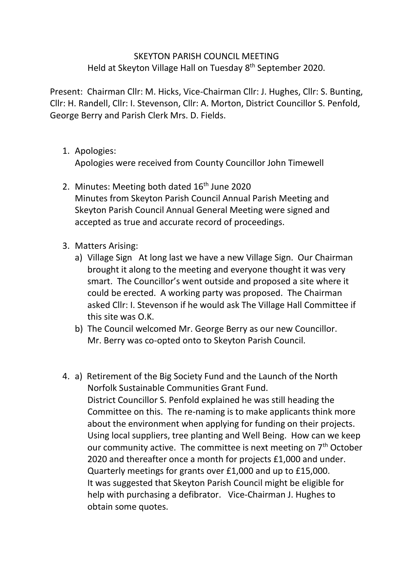## SKEYTON PARISH COUNCIL MEETING Held at Skeyton Village Hall on Tuesday 8<sup>th</sup> September 2020.

Present: Chairman Cllr: M. Hicks, Vice-Chairman Cllr: J. Hughes, Cllr: S. Bunting, Cllr: H. Randell, Cllr: I. Stevenson, Cllr: A. Morton, District Councillor S. Penfold, George Berry and Parish Clerk Mrs. D. Fields.

1. Apologies:

Apologies were received from County Councillor John Timewell

- 2. Minutes: Meeting both dated 16<sup>th</sup> June 2020 Minutes from Skeyton Parish Council Annual Parish Meeting and Skeyton Parish Council Annual General Meeting were signed and accepted as true and accurate record of proceedings.
- 3. Matters Arising:
	- a) Village Sign At long last we have a new Village Sign. Our Chairman brought it along to the meeting and everyone thought it was very smart. The Councillor's went outside and proposed a site where it could be erected. A working party was proposed. The Chairman asked Cllr: I. Stevenson if he would ask The Village Hall Committee if this site was O.K.
	- b) The Council welcomed Mr. George Berry as our new Councillor. Mr. Berry was co-opted onto to Skeyton Parish Council.
- 4. a) Retirement of the Big Society Fund and the Launch of the North Norfolk Sustainable Communities Grant Fund. District Councillor S. Penfold explained he was still heading the Committee on this. The re-naming is to make applicants think more about the environment when applying for funding on their projects. Using local suppliers, tree planting and Well Being. How can we keep our community active. The committee is next meeting on  $7<sup>th</sup>$  October 2020 and thereafter once a month for projects £1,000 and under. Quarterly meetings for grants over £1,000 and up to £15,000. It was suggested that Skeyton Parish Council might be eligible for help with purchasing a defibrator. Vice-Chairman J. Hughes to obtain some quotes.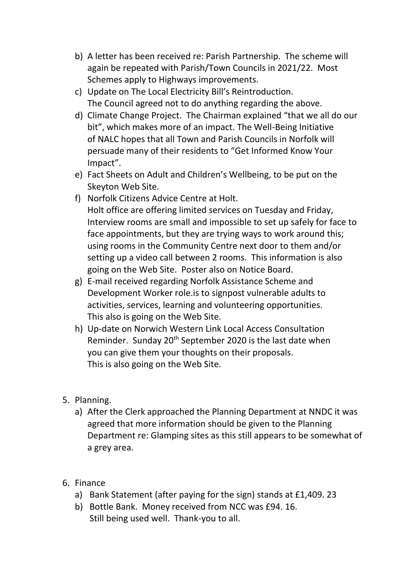- b) A letter has been received re: Parish Partnership. The scheme will again be repeated with Parish/Town Councils in 2021/22. Most Schemes apply to Highways improvements.
- c) Update on The Local Electricity Bill's Reintroduction. The Council agreed not to do anything regarding the above.
- d) Climate Change Project. The Chairman explained "that we all do our bit", which makes more of an impact. The Well-Being Initiative of NALC hopes that all Town and Parish Councils in Norfolk will persuade many of their residents to "Get Informed Know Your Impact".
- e) Fact Sheets on Adult and Children's Wellbeing, to be put on the Skeyton Web Site.
- f) Norfolk Citizens Advice Centre at Holt. Holt office are offering limited services on Tuesday and Friday, Interview rooms are small and impossible to set up safely for face to face appointments, but they are trying ways to work around this; using rooms in the Community Centre next door to them and/or setting up a video call between 2 rooms. This information is also going on the Web Site. Poster also on Notice Board.
- g) E-mail received regarding Norfolk Assistance Scheme and Development Worker role.is to signpost vulnerable adults to activities, services, learning and volunteering opportunities. This also is going on the Web Site.
- h) Up-date on Norwich Western Link Local Access Consultation Reminder. Sunday 20<sup>th</sup> September 2020 is the last date when you can give them your thoughts on their proposals. This is also going on the Web Site.
- 5. Planning.
	- a) After the Clerk approached the Planning Department at NNDC it was agreed that more information should be given to the Planning Department re: Glamping sites as this still appears to be somewhat of a grey area.
- 6. Finance
	- a) Bank Statement (after paying for the sign) stands at £1,409. 23
	- b) Bottle Bank. Money received from NCC was £94. 16. Still being used well. Thank-you to all.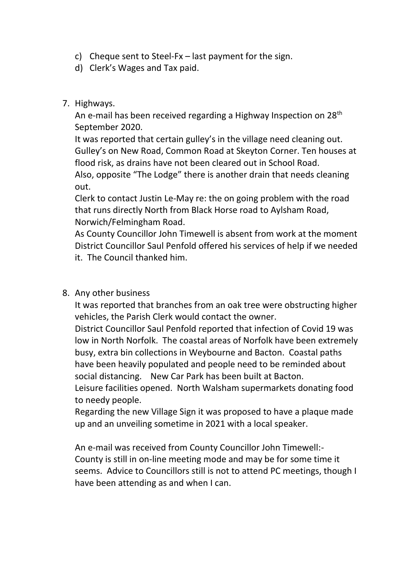- c) Cheque sent to Steel-Fx last payment for the sign.
- d) Clerk's Wages and Tax paid.

## 7. Highways.

An e-mail has been received regarding a Highway Inspection on 28<sup>th</sup> September 2020.

It was reported that certain gulley's in the village need cleaning out. Gulley's on New Road, Common Road at Skeyton Corner. Ten houses at flood risk, as drains have not been cleared out in School Road.

Also, opposite "The Lodge" there is another drain that needs cleaning out.

Clerk to contact Justin Le-May re: the on going problem with the road that runs directly North from Black Horse road to Aylsham Road, Norwich/Felmingham Road.

As County Councillor John Timewell is absent from work at the moment District Councillor Saul Penfold offered his services of help if we needed it. The Council thanked him.

## 8. Any other business

It was reported that branches from an oak tree were obstructing higher vehicles, the Parish Clerk would contact the owner.

District Councillor Saul Penfold reported that infection of Covid 19 was low in North Norfolk. The coastal areas of Norfolk have been extremely busy, extra bin collections in Weybourne and Bacton. Coastal paths have been heavily populated and people need to be reminded about social distancing. New Car Park has been built at Bacton.

Leisure facilities opened. North Walsham supermarkets donating food to needy people.

Regarding the new Village Sign it was proposed to have a plaque made up and an unveiling sometime in 2021 with a local speaker.

An e-mail was received from County Councillor John Timewell:- County is still in on-line meeting mode and may be for some time it seems. Advice to Councillors still is not to attend PC meetings, though I have been attending as and when I can.